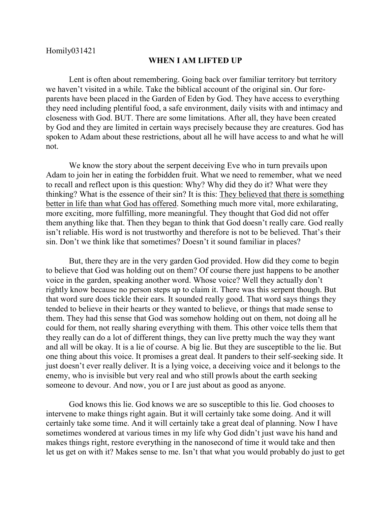## **WHEN I AM LIFTED UP**

Lent is often about remembering. Going back over familiar territory but territory we haven't visited in a while. Take the biblical account of the original sin. Our foreparents have been placed in the Garden of Eden by God. They have access to everything they need including plentiful food, a safe environment, daily visits with and intimacy and closeness with God. BUT. There are some limitations. After all, they have been created by God and they are limited in certain ways precisely because they are creatures. God has spoken to Adam about these restrictions, about all he will have access to and what he will not.

We know the story about the serpent deceiving Eve who in turn prevails upon Adam to join her in eating the forbidden fruit. What we need to remember, what we need to recall and reflect upon is this question: Why? Why did they do it? What were they thinking? What is the essence of their sin? It is this: They believed that there is something better in life than what God has offered. Something much more vital, more exhilarating, more exciting, more fulfilling, more meaningful. They thought that God did not offer them anything like that. Then they began to think that God doesn't really care. God really isn't reliable. His word is not trustworthy and therefore is not to be believed. That's their sin. Don't we think like that sometimes? Doesn't it sound familiar in places?

But, there they are in the very garden God provided. How did they come to begin to believe that God was holding out on them? Of course there just happens to be another voice in the garden, speaking another word. Whose voice? Well they actually don't rightly know because no person steps up to claim it. There was this serpent though. But that word sure does tickle their ears. It sounded really good. That word says things they tended to believe in their hearts or they wanted to believe, or things that made sense to them. They had this sense that God was somehow holding out on them, not doing all he could for them, not really sharing everything with them. This other voice tells them that they really can do a lot of different things, they can live pretty much the way they want and all will be okay. It is a lie of course. A big lie. But they are susceptible to the lie. But one thing about this voice. It promises a great deal. It panders to their self-seeking side. It just doesn't ever really deliver. It is a lying voice, a deceiving voice and it belongs to the enemy, who is invisible but very real and who still prowls about the earth seeking someone to devour. And now, you or I are just about as good as anyone.

God knows this lie. God knows we are so susceptible to this lie. God chooses to intervene to make things right again. But it will certainly take some doing. And it will certainly take some time. And it will certainly take a great deal of planning. Now I have sometimes wondered at various times in my life why God didn't just wave his hand and makes things right, restore everything in the nanosecond of time it would take and then let us get on with it? Makes sense to me. Isn't that what you would probably do just to get